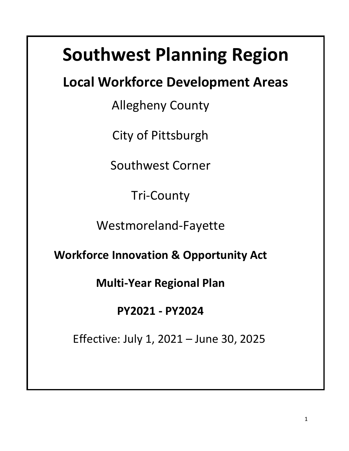# **Southwest Planning Region**

## **Local Workforce Development Areas**

Allegheny County

City of Pittsburgh

Southwest Corner

Tri-County

Westmoreland-Fayette

**Workforce Innovation & Opportunity Act**

**Multi-Year Regional Plan**

### **PY2021 - PY2024**

Effective: July 1, 2021 – June 30, 2025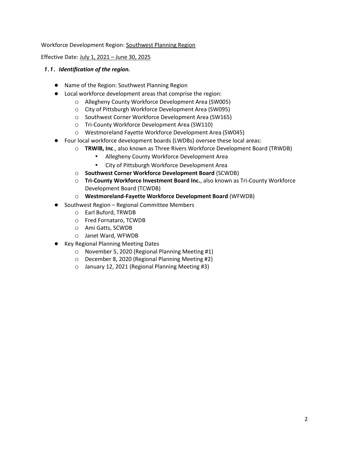#### Workforce Development Region: Southwest Planning Region

Effective Date: July 1, 2021 – June 30, 2025

#### *1.1. Identification of the region.*

- Name of the Region: Southwest Planning Region
- Local workforce development areas that comprise the region:
	- o Allegheny County Workforce Development Area (SW005)
	- o City of Pittsburgh Workforce Development Area (SW095)
	- o Southwest Corner Workforce Development Area (SW165)
	- o Tri-County Workforce Development Area (SW110)
	- o Westmoreland Fayette Workforce Development Area (SW045)
- Four local workforce development boards (LWDBs) oversee these local areas:
	- o **TRWIB, Inc**., also known as Three Rivers Workforce Development Board (TRWDB)
		- Allegheny County Workforce Development Area
		- City of Pittsburgh Workforce Development Area
	- o **Southwest Corner Workforce Development Board** (SCWDB)
	- o **Tri-County Workforce Investment Board Inc.**, also known as Tri-County Workforce Development Board (TCWDB)
	- o **Westmoreland-Fayette Workforce Development Board** (WFWDB)
- Southwest Region Regional Committee Members
	- o Earl Buford, TRWDB
	- o Fred Fornataro, TCWDB
	- o Ami Gatts, SCWDB
	- o Janet Ward, WFWDB
- Key Regional Planning Meeting Dates
	- o November 5, 2020 (Regional Planning Meeting #1)
	- o December 8, 2020 (Regional Planning Meeting #2)
	- o January 12, 2021 (Regional Planning Meeting #3)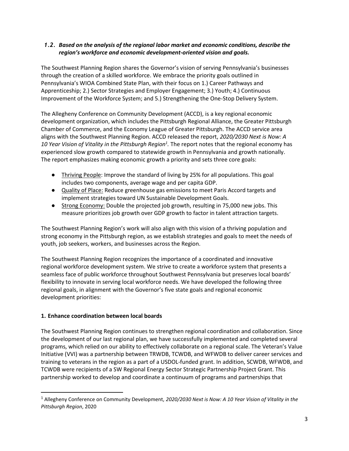#### *1.2. Based on the analysis of the regional labor market and economic conditions, describe the region's workforce and economic development-oriented vision and goals.*

The Southwest Planning Region shares the Governor's vision of serving Pennsylvania's businesses through the creation of a skilled workforce. We embrace the priority goals outlined in Pennsylvania's WIOA Combined State Plan, with their focus on 1.) Career Pathways and Apprenticeship; 2.) Sector Strategies and Employer Engagement; 3.) Youth; 4.) Continuous Improvement of the Workforce System; and 5.) Strengthening the One-Stop Delivery System.

The Allegheny Conference on Community Development (ACCD), is a key regional economic development organization, which includes the Pittsburgh Regional Alliance, the Greater Pittsburgh Chamber of Commerce, and the Economy League of Greater Pittsburgh. The ACCD service area aligns with the Southwest Planning Region. ACCD released the report, *2020/2030 Next is Now: A*  10 Year Vision of Vitality in the Pittsburgh Region<sup>1</sup>. The report notes that the regional economy has experienced slow growth compared to statewide growth in Pennsylvania and growth nationally. The report emphasizes making economic growth a priority and sets three core goals:

- Thriving People: Improve the standard of living by 25% for all populations. This goal includes two components, average wage and per capita GDP.
- Quality of Place: Reduce greenhouse gas emissions to meet Paris Accord targets and implement strategies toward UN Sustainable Development Goals.
- Strong Economy: Double the projected job growth, resulting in 75,000 new jobs. This measure prioritizes job growth over GDP growth to factor in talent attraction targets.

The Southwest Planning Region's work will also align with this vision of a thriving population and strong economy in the Pittsburgh region, as we establish strategies and goals to meet the needs of youth, job seekers, workers, and businesses across the Region.

The Southwest Planning Region recognizes the importance of a coordinated and innovative regional workforce development system. We strive to create a workforce system that presents a seamless face of public workforce throughout Southwest Pennsylvania but preserves local boards' flexibility to innovate in serving local workforce needs. We have developed the following three regional goals, in alignment with the Governor's five state goals and regional economic development priorities:

#### **1. Enhance coordination between local boards**

The Southwest Planning Region continues to strengthen regional coordination and collaboration. Since the development of our last regional plan, we have successfully implemented and completed several programs, which relied on our ability to effectively collaborate on a regional scale. The Veteran's Value Initiative (VVI) was a partnership between TRWDB, TCWDB, and WFWDB to deliver career services and training to veterans in the region as a part of a USDOL-funded grant. In addition, SCWDB, WFWDB, and TCWDB were recipients of a SW Regional Energy Sector Strategic Partnership Project Grant. This partnership worked to develop and coordinate a continuum of programs and partnerships that

<sup>1</sup> Allegheny Conference on Community Development, *2020/2030 Next is Now: A 10 Year Vision of Vitality in the Pittsburgh Region*, 2020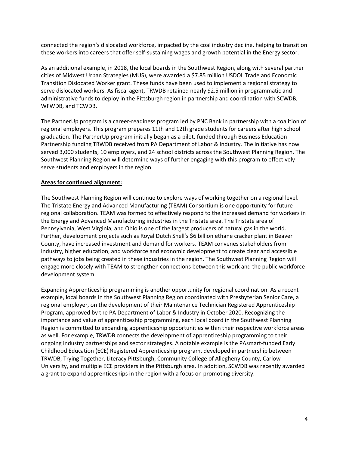connected the region's dislocated workforce, impacted by the coal industry decline, helping to transition these workers into careers that offer self-sustaining wages and growth potential in the Energy sector.

As an additional example, in 2018, the local boards in the Southwest Region, along with several partner cities of Midwest Urban Strategies (MUS), were awarded a \$7.85 million USDOL Trade and Economic Transition Dislocated Worker grant. These funds have been used to implement a regional strategy to serve dislocated workers. As fiscal agent, TRWDB retained nearly \$2.5 million in programmatic and administrative funds to deploy in the Pittsburgh region in partnership and coordination with SCWDB, WFWDB, and TCWDB.

The PartnerUp program is a career-readiness program led by PNC Bank in partnership with a coalition of regional employers. This program prepares 11th and 12th grade students for careers after high school graduation. The PartnerUp program initially began as a pilot, funded through Business Education Partnership funding TRWDB received from PA Department of Labor & Industry. The initiative has now served 3,000 students, 10 employers, and 24 school districts across the Southwest Planning Region. The Southwest Planning Region will determine ways of further engaging with this program to effectively serve students and employers in the region.

#### **Areas for continued alignment:**

The Southwest Planning Region will continue to explore ways of working together on a regional level. The Tristate Energy and Advanced Manufacturing (TEAM) Consortium is one opportunity for future regional collaboration. TEAM was formed to effectively respond to the increased demand for workers in the Energy and Advanced Manufacturing industries in the Tristate area. The Tristate area of Pennsylvania, West Virginia, and Ohio is one of the largest producers of natural gas in the world. Further, development projects such as Royal Dutch Shell's \$6 billion ethane cracker plant in Beaver County, have increased investment and demand for workers. TEAM convenes stakeholders from industry, higher education, and workforce and economic development to create clear and accessible pathways to jobs being created in these industries in the region. The Southwest Planning Region will engage more closely with TEAM to strengthen connections between this work and the public workforce development system.

Expanding Apprenticeship programming is another opportunity for regional coordination. As a recent example, local boards in the Southwest Planning Region coordinated with Presbyterian Senior Care, a regional employer, on the development of their Maintenance Technician Registered Apprenticeship Program, approved by the PA Department of Labor & Industry in October 2020. Recognizing the importance and value of apprenticeship programming, each local board in the Southwest Planning Region is committed to expanding apprenticeship opportunities within their respective workforce areas as well. For example, TRWDB connects the development of apprenticeship programming to their ongoing industry partnerships and sector strategies. A notable example is the PAsmart-funded Early Childhood Education (ECE) Registered Apprenticeship program, developed in partnership between TRWDB, Trying Together, Literacy Pittsburgh, Community College of Allegheny County, Carlow University, and multiple ECE providers in the Pittsburgh area. In addition, SCWDB was recently awarded a grant to expand apprenticeships in the region with a focus on promoting diversity.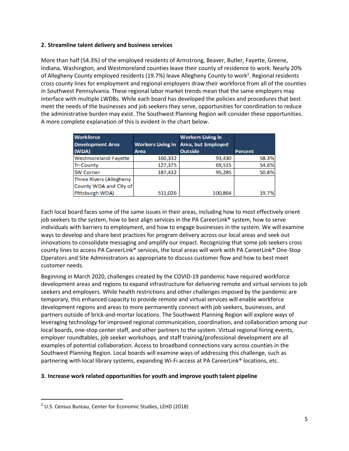#### **2. Streamline talent delivery and business services**

More than half (54.3%) of the employed residents of Armstrong, Beaver, Butler, Fayette, Greene, Indiana, Washington, and Westmoreland counties leave their county of residence to work. Nearly 20% of Allegheny County employed residents (19.7%) leave Allegheny County to work<sup>2</sup>. Regional residents cross county lines for employment and regional employers draw their workforce from all of the counties in Southwest Pennsylvania. These regional labor market trends mean that the same employers may interface with multiple LWDBs. While each board has developed the policies and procedures that best meet the needs of the businesses and job seekers they serve, opportunities for coordination to reduce the administrative burden may exist. The Southwest Planning Region will consider these opportunities. A more complete explanation of this is evident in the chart below.

| <b>Workforce</b><br><b>Development Area</b> | <b>Workers Living in</b><br>Workers Living in Area, but Employed |                |                |
|---------------------------------------------|------------------------------------------------------------------|----------------|----------------|
| (WDA)                                       | Area                                                             | <b>Outside</b> | <b>Percent</b> |
| Westmoreland-Fayette                        | 160,332                                                          | 93,430         | 58.3%          |
| <b>Tr-County</b>                            | 127,375                                                          | 69,515         | 54.6%          |
| <b>SW Corner</b>                            | 187,432                                                          | 95,285         | 50.8%          |
| Three Rivers (Allegheny                     |                                                                  |                |                |
| County WDA and City of                      |                                                                  |                |                |
| Pittsburgh WDA)                             | 511,026                                                          | 100,864        | 19.7%          |

Each local board faces some of the same issues in their areas, including how to most effectively orient job seekers to the system, how to best align services in the PA CareerLink® system, how to serve individuals with barriers to employment, and how to engage businesses in the system. We will examine ways to develop and share best practices for program delivery across our local areas and seek out innovations to consolidate messaging and amplify our impact. Recognizing that some job seekers cross county lines to access PA CareerLink® services, the local areas will work with PA CareerLink® One-Stop Operators and Site Administrators as appropriate to discuss customer flow and how to best meet customer needs.

Beginning in March 2020, challenges created by the COVID-19 pandemic have required workforce development areas and regions to expand infrastructure for delivering remote and virtual services to job seekers and employers. While health restrictions and other challenges imposed by the pandemic are temporary, this enhanced capacity to provide remote and virtual services will enable workforce development regions and areas to more permanently connect with job seekers, businesses, and partners outside of brick-and-mortar locations. The Southwest Planning Region will explore ways of leveraging technology for improved regional communication, coordination, and collaboration among our local boards, one-stop center staff, and other partners to the system. Virtual regional hiring events, employer roundtables, job seeker workshops, and staff training/professional development are all examples of potential collaboration. Access to broadband connections vary across counties in the Southwest Planning Region. Local boards will examine ways of addressing this challenge, such as partnering with local library systems, expanding Wi-Fi access at PA CareerLink® locations, etc.

#### **3. Increase work related opportunities for youth and improve youth talent pipeline**

<sup>2</sup> U.S. Census Bureau, Center for Economic Studies, LEHD (2018)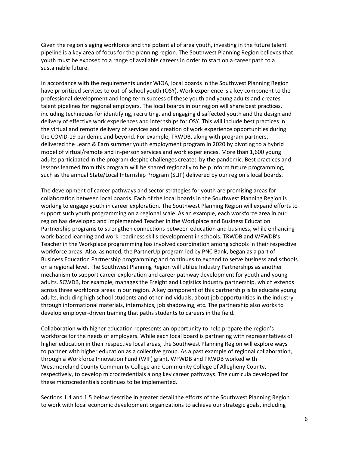Given the region's aging workforce and the potential of area youth, investing in the future talent pipeline is a key area of focus for the planning region. The Southwest Planning Region believes that youth must be exposed to a range of available careers in order to start on a career path to a sustainable future.

In accordance with the requirements under WIOA, local boards in the Southwest Planning Region have prioritized services to out-of-school youth (OSY). Work experience is a key component to the professional development and long-term success of these youth and young adults and creates talent pipelines for regional employers. The local boards in our region will share best practices, including techniques for identifying, recruiting, and engaging disaffected youth and the design and delivery of effective work experiences and internships for OSY. This will include best practices in the virtual and remote delivery of services and creation of work experience opportunities during the COVID-19 pandemic and beyond. For example, TRWDB, along with program partners, delivered the Learn & Earn summer youth employment program in 2020 by pivoting to a hybrid model of virtual/remote and in-person services and work experiences. More than 1,600 young adults participated in the program despite challenges created by the pandemic. Best practices and lessons learned from this program will be shared regionally to help inform future programming, such as the annual State/Local Internship Program (SLIP) delivered by our region's local boards.

The development of career pathways and sector strategies for youth are promising areas for collaboration between local boards. Each of the local boards in the Southwest Planning Region is working to engage youth in career exploration. The Southwest Planning Region will expand efforts to support such youth programming on a regional scale. As an example, each workforce area in our region has developed and implemented Teacher in the Workplace and Business Education Partnership programs to strengthen connections between education and business, while enhancing work-based learning and work-readiness skills development in schools. TRWDB and WFWDB's Teacher in the Workplace programming has involved coordination among schools in their respective workforce areas. Also, as noted, the PartnerUp program led by PNC Bank, began as a part of Business Education Partnership programming and continues to expand to serve business and schools on a regional level. The Southwest Planning Region will utilize Industry Partnerships as another mechanism to support career exploration and career pathway development for youth and young adults. SCWDB, for example, manages the Freight and Logistics industry partnership, which extends across three workforce areas in our region. A key component of this partnership is to educate young adults, including high school students and other individuals, about job opportunities in the industry through informational materials, internships, job shadowing, etc. The partnership also works to develop employer-driven training that paths students to careers in the field.

Collaboration with higher education represents an opportunity to help prepare the region's workforce for the needs of employers. While each local board is partnering with representatives of higher education in their respective local areas, the Southwest Planning Region will explore ways to partner with higher education as a collective group. As a past example of regional collaboration, through a Workforce Innovation Fund (WIF) grant, WFWDB and TRWDB worked with Westmoreland County Community College and Community College of Allegheny County, respectively, to develop microcredentials along key career pathways. The curricula developed for these microcredentials continues to be implemented.

Sections 1.4 and 1.5 below describe in greater detail the efforts of the Southwest Planning Region to work with local economic development organizations to achieve our strategic goals, including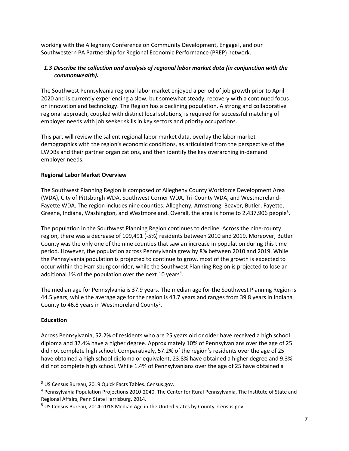working with the Allegheny Conference on Community Development, Engage!, and our Southwestern PA Partnership for Regional Economic Performance (PREP) network.

#### *1.3 Describe the collection and analysis of regional labor market data (in conjunction with the commonwealth).*

The Southwest Pennsylvania regional labor market enjoyed a period of job growth prior to April 2020 and is currently experiencing a slow, but somewhat steady, recovery with a continued focus on innovation and technology. The Region has a declining population. A strong and collaborative regional approach, coupled with distinct local solutions, is required for successful matching of employer needs with job seeker skills in key sectors and priority occupations.

This part will review the salient regional labor market data, overlay the labor market demographics with the region's economic conditions, as articulated from the perspective of the LWDBs and their partner organizations, and then identify the key overarching in-demand employer needs.

#### **Regional Labor Market Overview**

The Southwest Planning Region is composed of Allegheny County Workforce Development Area (WDA), City of Pittsburgh WDA, Southwest Corner WDA, Tri-County WDA, and Westmoreland-Fayette WDA. The region includes nine counties: Allegheny, Armstrong, Beaver, Butler, Fayette, Greene, Indiana, Washington, and Westmoreland. Overall, the area is home to 2,437,906 people<sup>3</sup>.

The population in the Southwest Planning Region continues to decline. Across the nine-county region, there was a decrease of 109,491 (-5%) residents between 2010 and 2019. Moreover, Butler County was the only one of the nine counties that saw an increase in population during this time period. However, the population across Pennsylvania grew by 8% between 2010 and 2019. While the Pennsylvania population is projected to continue to grow, most of the growth is expected to occur within the Harrisburg corridor, while the Southwest Planning Region is projected to lose an additional 1% of the population over the next 10 years<sup>4</sup>.

The median age for Pennsylvania is 37.9 years. The median age for the Southwest Planning Region is 44.5 years, while the average age for the region is 43.7 years and ranges from 39.8 years in Indiana County to 46.8 years in Westmoreland County<sup>5</sup>.

#### **Education**

Across Pennsylvania, 52.2% of residents who are 25 years old or older have received a high school diploma and 37.4% have a higher degree. Approximately 10% of Pennsylvanians over the age of 25 did not complete high school. Comparatively, 57.2% of the region's residents over the age of 25 have obtained a high school diploma or equivalent, 23.8% have obtained a higher degree and 9.3% did not complete high school. While 1.4% of Pennsylvanians over the age of 25 have obtained a

<sup>&</sup>lt;sup>3</sup> US Census Bureau, 2019 Quick Facts Tables. Census.gov.

<sup>&</sup>lt;sup>4</sup> Pennsylvania Population Projections 2010-2040. The Center for Rural Pennsylvania, The Institute of State and Regional Affairs, Penn State Harrisburg, 2014.

<sup>&</sup>lt;sup>5</sup> US Census Bureau, 2014-2018 Median Age in the United States by County. Census.gov.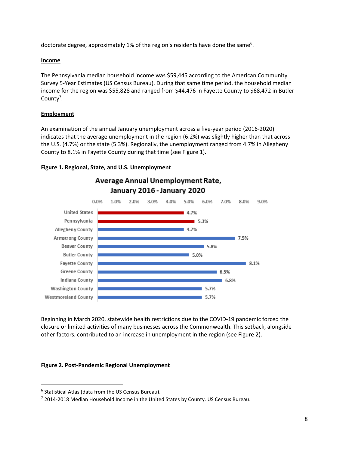doctorate degree, approximately 1% of the region's residents have done the same<sup>6</sup>.

#### **Income**

The Pennsylvania median household income was \$59,445 according to the American Community Survey 5-Year Estimates (US Census Bureau). During that same time period, the household median income for the region was \$55,828 and ranged from \$44,476 in Fayette County to \$68,472 in Butler County<sup>7</sup>.

#### **Employment**

An examination of the annual January unemployment across a five-year period (2016-2020) indicates that the average unemployment in the region (6.2%) was slightly higher than that across the U.S. (4.7%) or the state (5.3%). Regionally, the unemployment ranged from 4.7% in Allegheny County to 8.1% in Fayette County during that time (see Figure 1).

#### **Figure 1. Regional, State, and U.S. Unemployment**

#### Average Annual Unemployment Rate, January 2016 - January 2020



Beginning in March 2020, statewide health restrictions due to the COVID-19 pandemic forced the closure or limited activities of many businesses across the Commonwealth. This setback, alongside other factors, contributed to an increase in unemployment in the region (see Figure 2).

#### **Figure 2. Post-Pandemic Regional Unemployment**

<sup>&</sup>lt;sup>6</sup> Statistical Atlas (data from the US Census Bureau).

 $^7$  2014-2018 Median Household Income in the United States by County. US Census Bureau.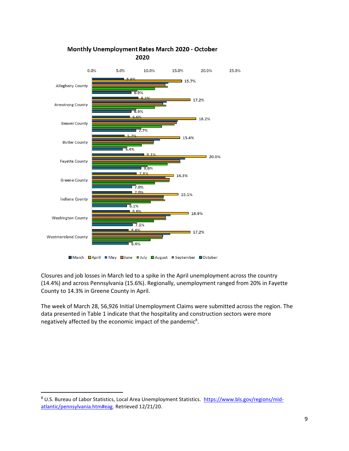

#### Monthly Unemployment Rates March 2020 - October 2020

Closures and job losses in March led to a spike in the April unemployment across the country (14.4%) and across Pennsylvania (15.6%). Regionally, unemployment ranged from 20% in Fayette County to 14.3% in Greene County in April.

The week of March 28, 56,926 Initial Unemployment Claims were submitted across the region. The data presented in Table 1 indicate that the hospitality and construction sectors were more negatively affected by the economic impact of the pandemic<sup>8</sup>.

<sup>8</sup> U.S. Bureau of Labor Statistics, Local Area Unemployment Statistics. [https://www.bls.gov/regions/mid](https://www.bls.gov/regions/mid-atlantic/pennsylvania.htm#eag)[atlantic/pennsylvania.htm#eag.](https://www.bls.gov/regions/mid-atlantic/pennsylvania.htm#eag) Retrieved 12/21/20.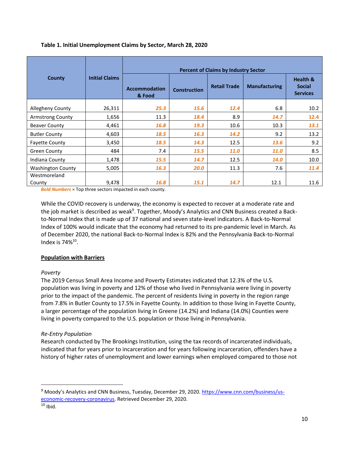|                          |                       | <b>Percent of Claims by Industry Sector</b> |                     |                     |                      |                                                         |  |  |
|--------------------------|-----------------------|---------------------------------------------|---------------------|---------------------|----------------------|---------------------------------------------------------|--|--|
| County                   | <b>Initial Claims</b> | <b>Accommodation</b><br>& Food              | <b>Construction</b> | <b>Retail Trade</b> | <b>Manufacturing</b> | <b>Health &amp;</b><br><b>Social</b><br><b>Services</b> |  |  |
| Allegheny County         | 26,311                | 25.3                                        | 15.6                | 12.4                | 6.8                  | 10.2                                                    |  |  |
| <b>Armstrong County</b>  | 1,656                 | 11.3                                        | 18.4                | 8.9                 | 14.7                 | 12.4                                                    |  |  |
| <b>Beaver County</b>     | 4,461                 | 16.8                                        | 19.3                | 10.6                | 10.3                 | 13.1                                                    |  |  |
| <b>Butler County</b>     | 4,603                 | 18.5                                        | 16.3                | 14.2                | 9.2                  | 13.2                                                    |  |  |
| <b>Fayette County</b>    | 3,450                 | 18.5                                        | 14.3                | 12.5                | 13.6                 | 9.2                                                     |  |  |
| <b>Green County</b>      | 484                   | 7.4                                         | 15.5                | <b>11.0</b>         | <b>11.0</b>          | 8.5                                                     |  |  |
| Indiana County           | 1,478                 | <b>15.5</b>                                 | 14.7                | 12.5                | <b>14.0</b>          | 10.0                                                    |  |  |
| <b>Washington County</b> | 5,005                 | 16.3                                        | 20.0                | 11.3                | 7.6                  | 11.4                                                    |  |  |
| Westmoreland<br>County   | 9,478                 | 16.8                                        | 15.1                | 14.7                | 12.1                 | 11.6                                                    |  |  |

#### **Table 1. Initial Unemployment Claims by Sector, March 28, 2020**

*Bold Numbers* = Top three sectors impacted in each county.

While the COVID recovery is underway, the economy is expected to recover at a moderate rate and the job market is described as weak<sup>9</sup>. Together, Moody's Analytics and CNN Business created a Backto-Normal Index that is made up of 37 national and seven state-level indicators. A Back-to-Normal Index of 100% would indicate that the economy had returned to its pre-pandemic level in March. As of December 2020, the national Back-to-Normal Index is 82% and the Pennsylvania Back-to-Normal Index is  $74\%^{10}$ .

#### **Population with Barriers**

#### *Poverty*

The 2019 Census Small Area Income and Poverty Estimates indicated that 12.3% of the U.S. population was living in poverty and 12% of those who lived in Pennsylvania were living in poverty prior to the impact of the pandemic. The percent of residents living in poverty in the region range from 7.8% in Butler County to 17.5% in Fayette County. In addition to those living in Fayette County, a larger percentage of the population living in Greene (14.2%) and Indiana (14.0%) Counties were living in poverty compared to the U.S. population or those living in Pennsylvania.

#### *Re-Entry Population*

Research conducted by The Brookings Institution, using the tax records of incarcerated individuals, indicated that for years prior to incarceration and for years following incarceration, offenders have a history of higher rates of unemployment and lower earnings when employed compared to those not

<sup>&</sup>lt;sup>9</sup> Moody's Analytics and CNN Business, Tuesday, December 29, 2020. [https://www.cnn.com/business/us](https://www.cnn.com/business/us-economic-recovery-coronavirus)[economic-recovery-coronavirus.](https://www.cnn.com/business/us-economic-recovery-coronavirus) Retrieved December 29, 2020.

 $10$  Ibid.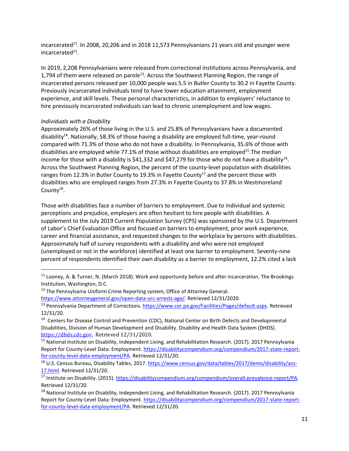incarcerated<sup>11</sup>. In 2008, 20,206 and in 2018 11,573 Pennsylvanians 21 years old and younger were incarcerated<sup>12</sup>.

In 2019, 2,208 Pennsylvanians were released from correctional institutions across Pennsylvania, and 1,794 of them were released on parole<sup>13</sup>. Across the Southwest Planning Region, the range of incarcerated persons released per 10,000 people was 5.5 in Butler County to 30.2 in Fayette County. Previously incarcerated individuals tend to have lower education attainment, employment experience, and skill levels. These personal characteristics, in addition to employers' reluctance to hire previously incarcerated individuals can lead to chronic unemployment and low wages.

#### *Individuals with a Disability*

Approximately 26% of those living in the U.S. and 25.8% of Pennsylvanians have a documented disability<sup>14</sup>. Nationally, 58.3% of those having a disability are employed full-time, year-round compared with 71.3% of those who do not have a disability. In Pennsylvania, 35.6% of those with disabilities are employed while 77.1% of those without disabilities are employed<sup>15</sup>. The median income for those with a disability is \$41,332 and \$47,279 for those who do not have a disability<sup>16</sup>. Across the Southwest Planning Region, the percent of the county-level population with disabilities ranges from 12.3% in Butler County to 19.3% in Fayette County<sup>17</sup> and the percent those with disabilities who are employed ranges from 27.3% in Fayette County to 37.8% in Westmoreland County<sup>18</sup>.

Those with disabilities face a number of barriers to employment. Due to individual and systemic perceptions and prejudice, employers are often hesitant to hire people with disabilities. A supplement to the July 2019 Current Population Survey (CPS) was sponsored by the U.S. Department of Labor's Chief Evaluation Office and focused on barriers to employment, prior work experience, career and financial assistance, and requested changes to the workplace by persons with disabilities. Approximately half of survey respondents with a disability and who were not employed (unemployed or not in the workforce) identified at least one barrier to employment. Seventy-nine percent of respondents identified their own disability as a barrier to employment, 12.2% cited a lack

<sup>&</sup>lt;sup>11</sup> Loonev. A. & Turner, N. (March 2018). Work and opportunity before and after incarceration. The Brookings Institution, Washington, D.C.

<sup>&</sup>lt;sup>12</sup> The Pennsylvania Uniform Crime Reporting system, Office of Attorney General. [https://www.attorneygeneral.gov/open-data-urc-arrests-age/.](https://www.attorneygeneral.gov/open-data-urc-arrests-age/) Retrieved 12/31/2020.

<sup>13</sup> Pennsylvania Department of Corrections[. https://www.cor.pa.gov/Facilities/Pages/default.aspx.](https://www.cor.pa.gov/Facilities/Pages/default.aspx) Retrieved 12/31/20.

<sup>&</sup>lt;sup>14</sup> Centers for Disease Control and Prevention (CDC), National Center on Birth Defects and Developmental Disabilities, Division of Human Development and Disability. Disability and Health Data System (DHDS). [https://dhds.cdc.gov.](https://dhds.cdc.gov/) Retrieved 12/31/2020.

<sup>&</sup>lt;sup>15</sup> National Institute on Disability, Independent Living, and Rehabilitation Research. (2017). 2017 Pennsylvania Report for County-Level Data: Employment. [https://disabilitycompendium.org/compendium/2017-state-report](https://disabilitycompendium.org/compendium/2017-state-report-for-county-level-data-employment/PA)[for-county-level-data-employment/PA.](https://disabilitycompendium.org/compendium/2017-state-report-for-county-level-data-employment/PA) Retrieved 12/31/20.

<sup>&</sup>lt;sup>16</sup> U.S. Census Bureau, Disability Tables, 2017. [https://www.census.gov/data/tables/2017/demo/disability/acs-](https://www.census.gov/data/tables/2017/demo/disability/acs-17.html)[17.html.](https://www.census.gov/data/tables/2017/demo/disability/acs-17.html) Retrieved 12/31/20.

<sup>17</sup> Institute on Disability. (2015)[. https://disabilitycompendium.org/compendium/overall-prevalence-report/PA.](https://disabilitycompendium.org/compendium/overall-prevalence-report/PA) Retrieved 12/31/20.

<sup>&</sup>lt;sup>18</sup> National Institute on Disability, Independent Living, and Rehabilitation Research. (2017). 2017 Pennsylvania Report for County-Level Data: Employment. [https://disabilitycompendium.org/compendium/2017-state-report](https://disabilitycompendium.org/compendium/2017-state-report-for-county-level-data-employment/PA)[for-county-level-data-employment/PA.](https://disabilitycompendium.org/compendium/2017-state-report-for-county-level-data-employment/PA) Retrieved 12/31/20.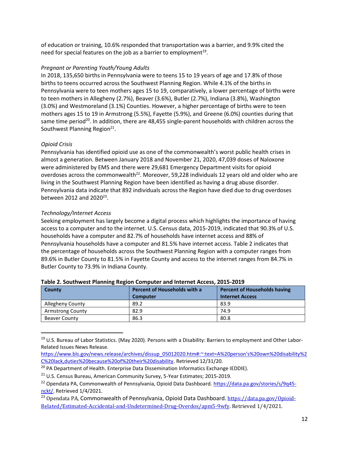of education or training, 10.6% responded that transportation was a barrier, and 9.9% cited the need for special features on the job as a barrier to employment<sup>19</sup>.

#### *Pregnant or Parenting Youth/Young Adults*

In 2018, 135,650 births in Pennsylvania were to teens 15 to 19 years of age and 17.8% of those births to teens occurred across the Southwest Planning Region. While 4.1% of the births in Pennsylvania were to teen mothers ages 15 to 19, comparatively, a lower percentage of births were to teen mothers in Allegheny (2.7%), Beaver (3.6%), Butler (2.7%), Indiana (3.8%), Washington (3.0%) and Westmoreland (3.1%) Counties. However, a higher percentage of births were to teen mothers ages 15 to 19 in Armstrong (5.5%), Fayette (5.9%), and Greene (6.0%) counties during that same time period<sup>20</sup>. In addition, there are 48,455 single-parent households with children across the Southwest Planning Region<sup>21</sup>.

#### *Opioid Crisis*

Pennsylvania has identified opioid use as one of the commonwealth's worst public health crises in almost a generation. Between January 2018 and November 21, 2020, 47,039 doses of Naloxone were administered by EMS and there were 29,681 Emergency Department visits for opioid overdoses across the commonwealth<sup>22</sup>. Moreover, 59,228 individuals 12 years old and older who are living in the Southwest Planning Region have been identified as having a drug abuse disorder. Pennsylvania data indicate that 892 individuals across the Region have died due to drug overdoses between 2012 and 2020<sup>23</sup>.

#### *Technology/Internet Access*

Seeking employment has largely become a digital process which highlights the importance of having access to a computer and to the internet. U.S. Census data, 2015-2019, indicated that 90.3% of U.S. households have a computer and 82.7% of households have internet access and 88% of Pennsylvania households have a computer and 81.5% have internet access. Table 2 indicates that the percentage of households across the Southwest Planning Region with a computer ranges from 89.6% in Butler County to 81.5% in Fayette County and access to the internet ranges from 84.7% in Butler County to 73.9% in Indiana County.

| County                  | Percent of Households with a | <b>Percent of Households having</b> |
|-------------------------|------------------------------|-------------------------------------|
|                         | <b>Computer</b>              | <b>Internet Access</b>              |
| Allegheny County        | 89.2                         | 83.9                                |
| <b>Armstrong County</b> | 82.9                         | 74.9                                |
| <b>Beaver County</b>    | 86.3                         | 80.8                                |

#### **Table 2. Southwest Planning Region Computer and Internet Access, 2015-2019**

<sup>&</sup>lt;sup>19</sup> U.S. Bureau of Labor Statistics. (May 2020). Persons with a Disability: Barriers to employment and Other Labor-Related Issues News Release.

[https://www.bls.gov/news.release/archives/dissup\\_05012020.htm#:~:text=A%20person's%20own%20disability%2](https://www.bls.gov/news.release/archives/dissup_05012020.htm#:~:text=A%20person) [C%20lack,duties%20because%20of%20their%20disability.](https://www.bls.gov/news.release/archives/dissup_05012020.htm#:~:text=A%20person) Retrieved 12/31/20.

<sup>&</sup>lt;sup>20</sup> PA Department of Health. Enterprise Data Dissemination Informatics Exchange IEDDIE).

<sup>&</sup>lt;sup>21</sup> U.S. Census Bureau, American Community Survey, 5-Year Estimates; 2015-2019.

<sup>&</sup>lt;sup>22</sup> Opendata PA, Commonwealth of Pennsylvania, Opioid Data Dashboard[. https://data.pa.gov/stories/s/9q45](https://data.pa.gov/stories/s/9q45-nckt/) [nckt/.](https://data.pa.gov/stories/s/9q45-nckt/) Retrieved 1/4/2021.

<sup>&</sup>lt;sup>23</sup> Opendata PA, Commonwealth of Pennsylvania, Opioid Data Dashboard. [https://data.pa.gov/Opioid-](https://data.pa.gov/Opioid-Related/Estimated-Accidental-and-Undetermined-Drug-Overdos/apm5-9wfy)[Related/Estimated-Accidental-and-Undetermined-Drug-Overdos/apm5-9wfy.](https://data.pa.gov/Opioid-Related/Estimated-Accidental-and-Undetermined-Drug-Overdos/apm5-9wfy) Retrieved 1/4/2021.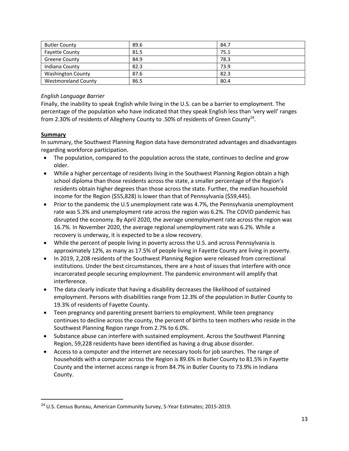| <b>Butler County</b>       | 89.6 | 84.7 |
|----------------------------|------|------|
| <b>Favette County</b>      | 81.5 | 75.1 |
| <b>Greene County</b>       | 84.9 | 78.3 |
| Indiana County             | 82.3 | 73.9 |
| <b>Washington County</b>   | 87.6 | 82.3 |
| <b>Westmoreland County</b> | 86.5 | 80.4 |

#### *English Language Barrier*

Finally, the inability to speak English while living in the U.S. can be a barrier to employment. The percentage of the population who have indicated that they speak English less than 'very well' ranges from 2.30% of residents of Allegheny County to .50% of residents of Green County $^{24}$ .

#### **Summary**

In summary, the Southwest Planning Region data have demonstrated advantages and disadvantages regarding workforce participation.

- The population, compared to the population across the state, continues to decline and grow older.
- While a higher percentage of residents living in the Southwest Planning Region obtain a high school diploma than those residents across the state, a smaller percentage of the Region's residents obtain higher degrees than those across the state. Further, the median household income for the Region (\$55,828) is lower than that of Pennsylvania (\$59,445).
- Prior to the pandemic the U.S unemployment rate was 4.7%, the Pennsylvania unemployment rate was 5.3% and unemployment rate across the region was 6.2%. The COVID pandemic has disrupted the economy. By April 2020, the average unemployment rate across the region was 16.7%. In November 2020, the average regional unemployment rate was 6.2%. While a recovery is underway, it is expected to be a slow recovery.
- While the percent of people living in poverty across the U.S. and across Pennsylvania is approximately 12%, as many as 17.5% of people living in Fayette County are living in poverty.
- In 2019, 2,208 residents of the Southwest Planning Region were released from correctional institutions. Under the best circumstances, there are a host of issues that interfere with once incarcerated people securing employment. The pandemic environment will amplify that interference.
- The data clearly indicate that having a disability decreases the likelihood of sustained employment. Persons with disabilities range from 12.3% of the population in Butler County to 19.3% of residents of Fayette County.
- Teen pregnancy and parenting present barriers to employment. While teen pregnancy continues to decline across the county, the percent of births to teen mothers who reside in the Southwest Planning Region range from 2.7% to 6.0%.
- Substance abuse can interfere with sustained employment. Across the Southwest Planning Region, 59,228 residents have been identified as having a drug abuse disorder.
- Access to a computer and the internet are necessary tools for job searches. The range of households with a computer across the Region is 89.6% in Butler County to 81.5% in Fayette County and the internet access range is from 84.7% in Butler County to 73.9% in Indiana County.

<sup>&</sup>lt;sup>24</sup> U.S. Census Bureau, American Community Survey, 5-Year Estimates; 2015-2019.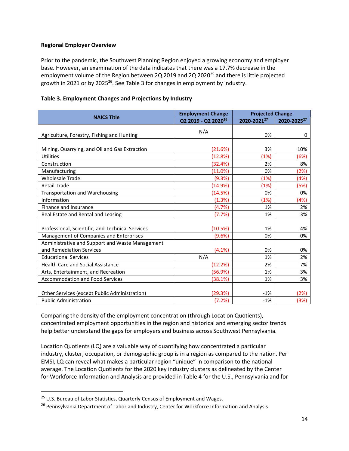#### **Regional Employer Overview**

Prior to the pandemic, the Southwest Planning Region enjoyed a growing economy and employer base. However, an examination of the data indicates that there was a 17.7% decrease in the employment volume of the Region between 2Q 2019 and 2Q 2020 $^{25}$  and there is little projected growth in 2021 or by 2025<sup>26</sup>. See Table 3 for changes in employment by industry.

|                                                                             | <b>Employment Change</b>        | <b>Projected Change</b> |                         |  |
|-----------------------------------------------------------------------------|---------------------------------|-------------------------|-------------------------|--|
| <b>NAICS Title</b>                                                          | Q2 2019 - Q2 2020 <sup>26</sup> | 2020-202127             | 2020-2025 <sup>27</sup> |  |
| Agriculture, Forestry, Fishing and Hunting                                  | N/A                             | 0%                      | 0                       |  |
| Mining, Quarrying, and Oil and Gas Extraction                               | (21.6%)                         | 3%                      | 10%                     |  |
| Utilities                                                                   | (12.8%)                         | (1%)                    | (6%)                    |  |
| Construction                                                                | (32.4%)                         | 2%                      | 8%                      |  |
| Manufacturing                                                               | (11.0%)                         | 0%                      | (2%)                    |  |
| <b>Wholesale Trade</b>                                                      | (9.3%)                          | (1%)                    | (4%)                    |  |
| <b>Retail Trade</b>                                                         | (14.9%)                         | (1%)                    | (5%)                    |  |
| <b>Transportation and Warehousing</b>                                       | (14.5%)                         | 0%                      | 0%                      |  |
| Information                                                                 | (1.3%)                          | (1%)                    | (4%)                    |  |
| <b>Finance and Insurance</b>                                                | (4.7%)                          | 1%                      | 2%                      |  |
| Real Estate and Rental and Leasing                                          | (7.7%)                          | 1%                      | 3%                      |  |
| Professional, Scientific, and Technical Services                            | (10.5%)                         | 1%                      | 4%                      |  |
| Management of Companies and Enterprises                                     | (9.6%)                          | 0%                      | 0%                      |  |
| Administrative and Support and Waste Management<br>and Remediation Services | $(4.1\%)$                       | 0%                      | 0%                      |  |
| <b>Educational Services</b>                                                 | N/A                             | 1%                      | 2%                      |  |
| <b>Health Care and Social Assistance</b>                                    | (12.2%)                         | 2%                      | 7%                      |  |
| Arts, Entertainment, and Recreation                                         | (56.9%)                         | 1%                      | 3%                      |  |
| Accommodation and Food Services                                             | (38.1%)                         | 1%                      | 3%                      |  |
| Other Services (except Public Administration)                               | (29.3%)                         | $-1%$                   | (2%)                    |  |
| <b>Public Administration</b>                                                | (7.2%)                          | $-1%$                   | (3%)                    |  |

#### **Table 3. Employment Changes and Projections by Industry**

Comparing the density of the employment concentration (through Location Quotients), concentrated employment opportunities in the region and historical and emerging sector trends help better understand the gaps for employers and business across Southwest Pennsylvania.

Location Quotients (LQ) are a valuable way of quantifying how concentrated a particular industry, cluster, occupation, or demographic group is in a region as compared to the nation. Per EMSI, LQ can reveal what makes a particular region "unique" in comparison to the national average. The Location Quotients for the 2020 key industry clusters as delineated by the Center for Workforce Information and Analysis are provided in Table 4 for the U.S., Pennsylvania and for

<sup>&</sup>lt;sup>25</sup> U.S. Bureau of Labor Statistics, Quarterly Census of Employment and Wages.

<sup>&</sup>lt;sup>26</sup> Pennsylvania Department of Labor and Industry, Center for Workforce Information and Analysis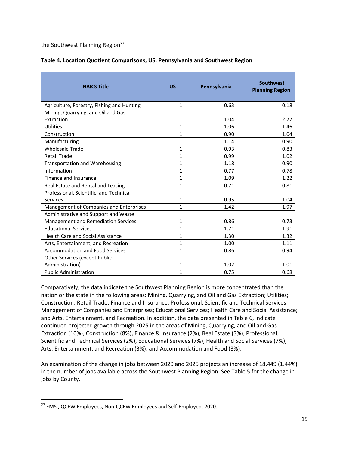the Southwest Planning Region<sup>27</sup>.

| Table 4. Location Quotient Comparisons, US, Pennsylvania and Southwest Region |  |  |
|-------------------------------------------------------------------------------|--|--|
|-------------------------------------------------------------------------------|--|--|

| <b>NAICS Title</b>                         | <b>US</b>    | Pennsylvania | <b>Southwest</b><br><b>Planning Region</b> |
|--------------------------------------------|--------------|--------------|--------------------------------------------|
| Agriculture, Forestry, Fishing and Hunting | $\mathbf{1}$ | 0.63         | 0.18                                       |
| Mining, Quarrying, and Oil and Gas         |              |              |                                            |
| Extraction                                 | $\mathbf{1}$ | 1.04         | 2.77                                       |
| Utilities                                  | 1            | 1.06         | 1.46                                       |
| Construction                               | $\mathbf{1}$ | 0.90         | 1.04                                       |
| Manufacturing                              | $\mathbf{1}$ | 1.14         | 0.90                                       |
| <b>Wholesale Trade</b>                     | $\mathbf{1}$ | 0.93         | 0.83                                       |
| <b>Retail Trade</b>                        | $\mathbf{1}$ | 0.99         | 1.02                                       |
| <b>Transportation and Warehousing</b>      | $\mathbf{1}$ | 1.18         | 0.90                                       |
| Information                                | $\mathbf{1}$ | 0.77         | 0.78                                       |
| Finance and Insurance                      | $\mathbf{1}$ | 1.09         | 1.22                                       |
| Real Estate and Rental and Leasing         | $\mathbf{1}$ | 0.71         | 0.81                                       |
| Professional, Scientific, and Technical    |              |              |                                            |
| Services                                   | 1            | 0.95         | 1.04                                       |
| Management of Companies and Enterprises    | $\mathbf{1}$ | 1.42         | 1.97                                       |
| Administrative and Support and Waste       |              |              |                                            |
| Management and Remediation Services        | $\mathbf{1}$ | 0.86         | 0.73                                       |
| <b>Educational Services</b>                | $\mathbf{1}$ | 1.71         | 1.91                                       |
| <b>Health Care and Social Assistance</b>   | $\mathbf{1}$ | 1.30         | 1.32                                       |
| Arts, Entertainment, and Recreation        | $\mathbf{1}$ | 1.00         | 1.11                                       |
| <b>Accommodation and Food Services</b>     | $\mathbf{1}$ | 0.86         | 0.94                                       |
| <b>Other Services (except Public</b>       |              |              |                                            |
| Administration)                            | 1            | 1.02         | 1.01                                       |
| <b>Public Administration</b>               | $\mathbf{1}$ | 0.75         | 0.68                                       |

Comparatively, the data indicate the Southwest Planning Region is more concentrated than the nation or the state in the following areas: Mining, Quarrying, and Oil and Gas Extraction; Utilities; Construction; Retail Trade; Finance and Insurance; Professional, Scientific and Technical Services; Management of Companies and Enterprises; Educational Services; Health Care and Social Assistance; and Arts, Entertainment, and Recreation. In addition, the data presented in Table 6, indicate continued projected growth through 2025 in the areas of Mining, Quarrying, and Oil and Gas Extraction (10%), Construction (8%), Finance & Insurance (2%), Real Estate (3%), Professional, Scientific and Technical Services (2%), Educational Services (7%), Health and Social Services (7%), Arts, Entertainment, and Recreation (3%), and Accommodation and Food (3%).

An examination of the change in jobs between 2020 and 2025 projects an increase of 18,449 (1.44%) in the number of jobs available across the Southwest Planning Region. See Table 5 for the change in jobs by County.

<sup>&</sup>lt;sup>27</sup> EMSI, QCEW Employees, Non-QCEW Employees and Self-Employed, 2020.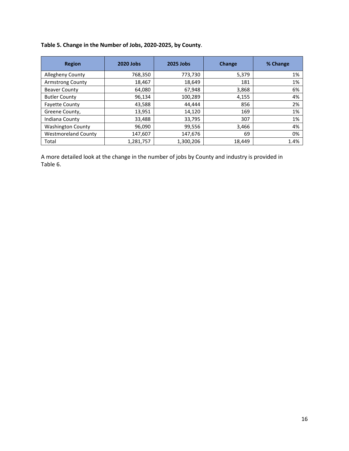#### **Table 5. Change in the Number of Jobs, 2020-2025, by County**.

| <b>Region</b>              | 2020 Jobs | 2025 Jobs | <b>Change</b> | % Change |
|----------------------------|-----------|-----------|---------------|----------|
| <b>Allegheny County</b>    | 768,350   | 773,730   | 5,379         | 1%       |
| <b>Armstrong County</b>    | 18,467    | 18,649    | 181           | 1%       |
| <b>Beaver County</b>       | 64,080    | 67,948    | 3,868         | 6%       |
| <b>Butler County</b>       | 96,134    | 100,289   | 4,155         | 4%       |
| <b>Fayette County</b>      | 43,588    | 44,444    | 856           | 2%       |
| Greene County,             | 13,951    | 14,120    | 169           | 1%       |
| Indiana County             | 33,488    | 33,795    | 307           | 1%       |
| <b>Washington County</b>   | 96,090    | 99,556    | 3,466         | 4%       |
| <b>Westmoreland County</b> | 147,607   | 147,676   | 69            | 0%       |
| Total                      | 1,281,757 | 1,300,206 | 18,449        | 1.4%     |

A more detailed look at the change in the number of jobs by County and industry is provided in Table 6.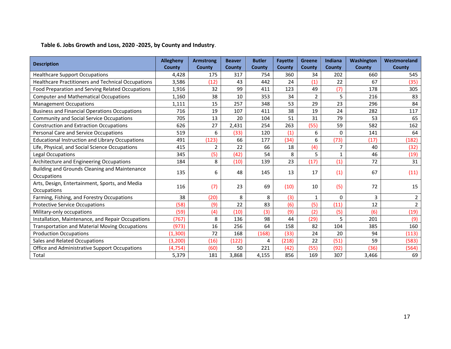#### **Table 6. Jobs Growth and Loss, 2020 -2025, by County and Industry**.

| <b>Description</b>                                            | <b>Allegheny</b><br>County | <b>Armstrong</b><br>County | <b>Beaver</b><br>County | <b>Butler</b><br>County | <b>Fayette</b><br>County | <b>Greene</b><br>County | <b>Indiana</b><br>County | <b>Washington</b><br>County | Westmoreland<br>County |
|---------------------------------------------------------------|----------------------------|----------------------------|-------------------------|-------------------------|--------------------------|-------------------------|--------------------------|-----------------------------|------------------------|
| <b>Healthcare Support Occupations</b>                         | 4,428                      | 175                        | 317                     | 754                     | 360                      | 34                      | 202                      | 660                         | 545                    |
| <b>Healthcare Practitioners and Technical Occupations</b>     | 3,586                      | (12)                       | 43                      | 442                     | 24                       | (1)                     | 22                       | 67                          | (35)                   |
| Food Preparation and Serving Related Occupations              | 1,916                      | 32                         | 99                      | 411                     | 123                      | 49                      | (7)                      | 178                         | 305                    |
| <b>Computer and Mathematical Occupations</b>                  | 1,160                      | 38                         | 10                      | 353                     | 34                       | $\overline{2}$          | 5                        | 216                         | 83                     |
| <b>Management Occupations</b>                                 | 1,111                      | 15                         | 257                     | 348                     | 53                       | 29                      | 23                       | 296                         | 84                     |
| <b>Business and Financial Operations Occupations</b>          | 716                        | 19                         | 107                     | 411                     | 38                       | 19                      | 24                       | 282                         | 117                    |
| <b>Community and Social Service Occupations</b>               | 705                        | 13                         | 20                      | 104                     | 51                       | 31                      | 79                       | 53                          | 65                     |
| <b>Construction and Extraction Occupations</b>                | 626                        | 27                         | 2,431                   | 254                     | 263                      | (55)                    | 59                       | 582                         | 162                    |
| Personal Care and Service Occupations                         | 519                        | 6                          | (33)                    | 120                     | (1)                      | 6                       | 0                        | 141                         | 64                     |
| <b>Educational Instruction and Library Occupations</b>        | 491                        | (123)                      | 66                      | 177                     | (34)                     | 6                       | (73)                     | (17)                        | (182)                  |
| Life, Physical, and Social Science Occupations                | 415                        | 2                          | 22                      | 66                      | 18                       | (4)                     | 7                        | 40                          | (32)                   |
| Legal Occupations                                             | 345                        | (5)                        | (42)                    | 54                      | 8                        | 5                       | 1                        | 46                          | (19)                   |
| Architecture and Engineering Occupations                      | 184                        | 8                          | (10)                    | 139                     | 23                       | (17)                    | (1)                      | 72                          | 31                     |
| Building and Grounds Cleaning and Maintenance<br>Occupations  | 135                        | 6                          | 48                      | 145                     | 13                       | 17                      | (1)                      | 67                          | (11)                   |
| Arts, Design, Entertainment, Sports, and Media<br>Occupations | 116                        | (7)                        | 23                      | 69                      | (10)                     | 10                      | (5)                      | 72                          | 15                     |
| Farming, Fishing, and Forestry Occupations                    | 38                         | (20)                       | 8                       | 8                       | (3)                      | 1                       | 0                        | 3                           | 2                      |
| <b>Protective Service Occupations</b>                         | (58)                       | (9)                        | 22                      | 83                      | (6)                      | (5)                     | (11)                     | 12                          | $\overline{2}$         |
| Military-only occupations                                     | (59)                       | (4)                        | (10)                    | (3)                     | (9)                      | (2)                     | (5)                      | (6)                         | (19)                   |
| Installation, Maintenance, and Repair Occupations             | (767)                      | 8                          | 136                     | 98                      | 44                       | (29)                    | 5                        | 201                         | (9)                    |
| <b>Transportation and Material Moving Occupations</b>         | (973)                      | 16                         | 256                     | 64                      | 158                      | 82                      | 104                      | 385                         | 160                    |
| <b>Production Occupations</b>                                 | (1,300)                    | 72                         | 168                     | (168)                   | (33)                     | 24                      | 20                       | 94                          | (113)                  |
| Sales and Related Occupations                                 | (3, 200)                   | (16)                       | (122)                   | 4                       | (218)                    | 22                      | (51)                     | 59                          | (583)                  |
| Office and Administrative Support Occupations                 | (4, 754)                   | (60)                       | 50                      | 221                     | (42)                     | (55)                    | (92)                     | (36)                        | (564)                  |
| Total                                                         | 5,379                      | 181                        | 3,868                   | 4,155                   | 856                      | 169                     | 307                      | 3,466                       | 69                     |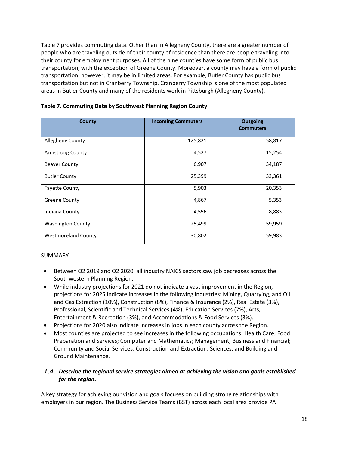Table 7 provides commuting data. Other than in Allegheny County, there are a greater number of people who are traveling outside of their county of residence than there are people traveling into their county for employment purposes. All of the nine counties have some form of public bus transportation, with the exception of Greene County. Moreover, a county may have a form of public transportation, however, it may be in limited areas. For example, Butler County has public bus transportation but not in Cranberry Township. Cranberry Township is one of the most populated areas in Butler County and many of the residents work in Pittsburgh (Allegheny County).

| <b>County</b>              | <b>Incoming Commuters</b> | <b>Outgoing</b><br><b>Commuters</b> |
|----------------------------|---------------------------|-------------------------------------|
| Allegheny County           | 125,821                   | 58,817                              |
| <b>Armstrong County</b>    | 4,527                     | 15,254                              |
| <b>Beaver County</b>       | 6,907                     | 34,187                              |
| <b>Butler County</b>       | 25,399                    | 33,361                              |
| <b>Fayette County</b>      | 5,903                     | 20,353                              |
| <b>Greene County</b>       | 4,867                     | 5,353                               |
| Indiana County             | 4,556                     | 8,883                               |
| <b>Washington County</b>   | 25,499                    | 59,959                              |
| <b>Westmoreland County</b> | 30,802                    | 59,983                              |

#### **Table 7. Commuting Data by Southwest Planning Region County**

#### SUMMARY

- Between Q2 2019 and Q2 2020, all industry NAICS sectors saw job decreases across the Southwestern Planning Region.
- While industry projections for 2021 do not indicate a vast improvement in the Region, projections for 2025 indicate increases in the following industries: Mining, Quarrying, and Oil and Gas Extraction (10%), Construction (8%), Finance & Insurance (2%), Real Estate (3%), Professional, Scientific and Technical Services (4%), Education Services (7%), Arts, Entertainment & Recreation (3%), and Accommodations & Food Services (3%).
- Projections for 2020 also indicate increases in jobs in each county across the Region.
- Most counties are projected to see increases in the following occupations: Health Care; Food Preparation and Services; Computer and Mathematics; Management; Business and Financial; Community and Social Services; Construction and Extraction; Sciences; and Building and Ground Maintenance.

#### *1.4. Describe the regional service strategies aimed at achieving the vision and goals established for the region.*

A key strategy for achieving our vision and goals focuses on building strong relationships with employers in our region. The Business Service Teams (BST) across each local area provide PA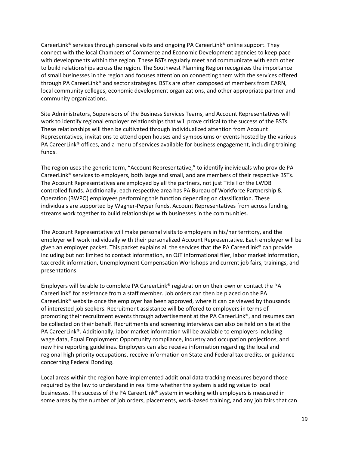CareerLink® services through personal visits and ongoing PA CareerLink® online support. They connect with the local Chambers of Commerce and Economic Development agencies to keep pace with developments within the region. These BSTs regularly meet and communicate with each other to build relationships across the region. The Southwest Planning Region recognizes the importance of small businesses in the region and focuses attention on connecting them with the services offered through PA CareerLink® and sector strategies. BSTs are often composed of members from EARN, local community colleges, economic development organizations, and other appropriate partner and community organizations.

Site Administrators, Supervisors of the Business Services Teams, and Account Representatives will work to identify regional employer relationships that will prove critical to the success of the BSTs. These relationships will then be cultivated through individualized attention from Account Representatives, invitations to attend open houses and symposiums or events hosted by the various PA CareerLink® offices, and a menu of services available for business engagement, including training funds.

The region uses the generic term, "Account Representative," to identify individuals who provide PA CareerLink® services to employers, both large and small, and are members of their respective BSTs. The Account Representatives are employed by all the partners, not just Title I or the LWDB controlled funds. Additionally, each respective area has PA Bureau of Workforce Partnership & Operation (BWPO) employees performing this function depending on classification. These individuals are supported by Wagner-Peyser funds. Account Representatives from across funding streams work together to build relationships with businesses in the communities.

The Account Representative will make personal visits to employers in his/her territory, and the employer will work individually with their personalized Account Representative. Each employer will be given an employer packet. This packet explains all the services that the PA CareerLink® can provide including but not limited to contact information, an OJT informational flier, labor market information, tax credit information, Unemployment Compensation Workshops and current job fairs, trainings, and presentations.

Employers will be able to complete PA CareerLink® registration on their own or contact the PA CareerLink® for assistance from a staff member. Job orders can then be placed on the PA CareerLink® website once the employer has been approved, where it can be viewed by thousands of interested job seekers. Recruitment assistance will be offered to employers in terms of promoting their recruitment events through advertisement at the PA CareerLink®, and resumes can be collected on their behalf. Recruitments and screening interviews can also be held on site at the PA CareerLink®. Additionally, labor market information will be available to employers including wage data, Equal Employment Opportunity compliance, industry and occupation projections, and new hire reporting guidelines. Employers can also receive information regarding the local and regional high priority occupations, receive information on State and Federal tax credits, or guidance concerning Federal Bonding.

Local areas within the region have implemented additional data tracking measures beyond those required by the law to understand in real time whether the system is adding value to local businesses. The success of the PA CareerLink® system in working with employers is measured in some areas by the number of job orders, placements, work-based training, and any job fairs that can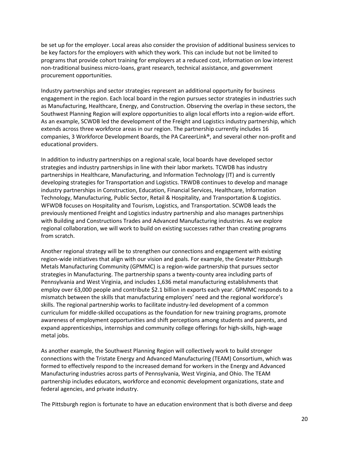be set up for the employer. Local areas also consider the provision of additional business services to be key factors for the employers with which they work. This can include but not be limited to programs that provide cohort training for employers at a reduced cost, information on low interest non-traditional business micro-loans, grant research, technical assistance, and government procurement opportunities.

Industry partnerships and sector strategies represent an additional opportunity for business engagement in the region. Each local board in the region pursues sector strategies in industries such as Manufacturing, Healthcare, Energy, and Construction. Observing the overlap in these sectors, the Southwest Planning Region will explore opportunities to align local efforts into a region-wide effort. As an example, SCWDB led the development of the Freight and Logistics industry partnership, which extends across three workforce areas in our region. The partnership currently includes 16 companies, 3 Workforce Development Boards, the PA CareerLink®, and several other non-profit and educational providers.

In addition to industry partnerships on a regional scale, local boards have developed sector strategies and industry partnerships in line with their labor markets. TCWDB has industry partnerships in Healthcare, Manufacturing, and Information Technology (IT) and is currently developing strategies for Transportation and Logistics. TRWDB continues to develop and manage industry partnerships in Construction, Education, Financial Services, Healthcare, Information Technology, Manufacturing, Public Sector, Retail & Hospitality, and Transportation & Logistics. WFWDB focuses on Hospitality and Tourism, Logistics, and Transportation. SCWDB leads the previously mentioned Freight and Logistics industry partnership and also manages partnerships with Building and Constructions Trades and Advanced Manufacturing industries. As we explore regional collaboration, we will work to build on existing successes rather than creating programs from scratch.

Another regional strategy will be to strengthen our connections and engagement with existing region-wide initiatives that align with our vision and goals. For example, the Greater Pittsburgh Metals Manufacturing Community (GPMMC) is a region-wide partnership that pursues sector strategies in Manufacturing. The partnership spans a twenty-county area including parts of Pennsylvania and West Virginia, and includes 1,636 metal manufacturing establishments that employ over 63,000 people and contribute \$2.1 billion in exports each year. GPMMC responds to a mismatch between the skills that manufacturing employers' need and the regional workforce's skills. The regional partnership works to facilitate industry-led development of a common curriculum for middle-skilled occupations as the foundation for new training programs, promote awareness of employment opportunities and shift perceptions among students and parents, and expand apprenticeships, internships and community college offerings for high-skills, high-wage metal jobs.

As another example, the Southwest Planning Region will collectively work to build stronger connections with the Tristate Energy and Advanced Manufacturing (TEAM) Consortium, which was formed to effectively respond to the increased demand for workers in the Energy and Advanced Manufacturing industries across parts of Pennsylvania, West Virginia, and Ohio. The TEAM partnership includes educators, workforce and economic development organizations, state and federal agencies, and private industry.

The Pittsburgh region is fortunate to have an education environment that is both diverse and deep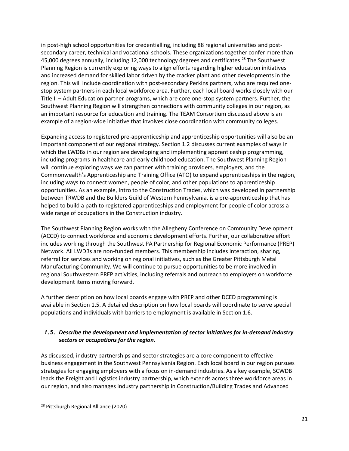in post-high school opportunities for credentialling, including 88 regional universities and postsecondary career, technical and vocational schools. These organizations together confer more than 45,000 degrees annually, including 12,000 technology degrees and certificates.<sup>28</sup> The Southwest Planning Region is currently exploring ways to align efforts regarding higher education initiatives and increased demand for skilled labor driven by the cracker plant and other developments in the region. This will include coordination with post-secondary Perkins partners, who are required onestop system partners in each local workforce area. Further, each local board works closely with our Title II – Adult Education partner programs, which are core one-stop system partners. Further, the Southwest Planning Region will strengthen connections with community colleges in our region, as an important resource for education and training. The TEAM Consortium discussed above is an example of a region-wide initiative that involves close coordination with community colleges.

Expanding access to registered pre-apprenticeship and apprenticeship opportunities will also be an important component of our regional strategy. Section 1.2 discusses current examples of ways in which the LWDBs in our region are developing and implementing apprenticeship programming, including programs in healthcare and early childhood education. The Southwest Planning Region will continue exploring ways we can partner with training providers, employers, and the Commonwealth's Apprenticeship and Training Office (ATO) to expand apprenticeships in the region, including ways to connect women, people of color, and other populations to apprenticeship opportunities. As an example, Intro to the Construction Trades, which was developed in partnership between TRWDB and the Builders Guild of Western Pennsylvania, is a pre-apprenticeship that has helped to build a path to registered apprenticeships and employment for people of color across a wide range of occupations in the Construction industry.

The Southwest Planning Region works with the Allegheny Conference on Community Development (ACCD) to connect workforce and economic development efforts. Further, our collaborative effort includes working through the Southwest PA Partnership for Regional Economic Performance (PREP) Network. All LWDBs are non-funded members. This membership includes interaction, sharing, referral for services and working on regional initiatives, such as the Greater Pittsburgh Metal Manufacturing Community. We will continue to pursue opportunities to be more involved in regional Southwestern PREP activities, including referrals and outreach to employers on workforce development items moving forward.

A further description on how local boards engage with PREP and other DCED programming is available in Section 1.5. A detailed description on how local boards will coordinate to serve special populations and individuals with barriers to employment is available in Section 1.6.

#### *1.5. Describe the development and implementation of sector initiatives for in-demand industry sectors or occupations for the region.*

As discussed, industry partnerships and sector strategies are a core component to effective business engagement in the Southwest Pennsylvania Region. Each local board in our region pursues strategies for engaging employers with a focus on in-demand industries. As a key example, SCWDB leads the Freight and Logistics industry partnership, which extends across three workforce areas in our region, and also manages industry partnership in Construction/Building Trades and Advanced

<sup>28</sup> Pittsburgh Regional Alliance (2020)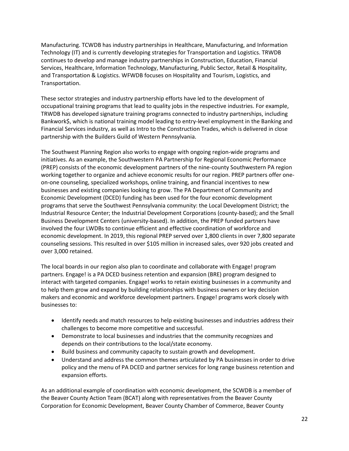Manufacturing. TCWDB has industry partnerships in Healthcare, Manufacturing, and Information Technology (IT) and is currently developing strategies for Transportation and Logistics. TRWDB continues to develop and manage industry partnerships in Construction, Education, Financial Services, Healthcare, Information Technology, Manufacturing, Public Sector, Retail & Hospitality, and Transportation & Logistics. WFWDB focuses on Hospitality and Tourism, Logistics, and Transportation.

These sector strategies and industry partnership efforts have led to the development of occupational training programs that lead to quality jobs in the respective industries. For example, TRWDB has developed signature training programs connected to industry partnerships, including Bankwork\$, which is national training model leading to entry-level employment in the Banking and Financial Services industry, as well as Intro to the Construction Trades, which is delivered in close partnership with the Builders Guild of Western Pennsylvania.

The Southwest Planning Region also works to engage with ongoing region-wide programs and initiatives. As an example, the Southwestern PA Partnership for Regional Economic Performance (PREP) consists of the economic development partners of the nine-county Southwestern PA region working together to organize and achieve economic results for our region. PREP partners offer oneon-one counseling, specialized workshops, online training, and financial incentives to new businesses and existing companies looking to grow. The PA Department of Community and Economic Development (DCED) funding has been used for the four economic development programs that serve the Southwest Pennsylvania community: the Local Development District; the Industrial Resource Center; the Industrial Development Corporations (county-based); and the Small Business Development Centers (university-based). In addition, the PREP funded partners have involved the four LWDBs to continue efficient and effective coordination of workforce and economic development. In 2019, this regional PREP served over 1,800 clients in over 7,800 separate counseling sessions. This resulted in over \$105 million in increased sales, over 920 jobs created and over 3,000 retained.

The local boards in our region also plan to coordinate and collaborate with Engage! program partners. Engage! is a PA DCED business retention and expansion (BRE) program designed to interact with targeted companies. Engage! works to retain existing businesses in a community and to help them grow and expand by building relationships with business owners or key decision makers and economic and workforce development partners. Engage! programs work closely with businesses to:

- Identify needs and match resources to help existing businesses and industries address their challenges to become more competitive and successful.
- Demonstrate to local businesses and industries that the community recognizes and depends on their contributions to the local/state economy.
- Build business and community capacity to sustain growth and development.
- Understand and address the common themes articulated by PA businesses in order to drive policy and the menu of PA DCED and partner services for long range business retention and expansion efforts.

As an additional example of coordination with economic development, the SCWDB is a member of the Beaver County Action Team (BCAT) along with representatives from the Beaver County Corporation for Economic Development, Beaver County Chamber of Commerce, Beaver County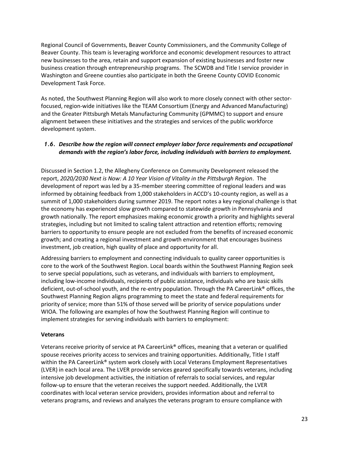Regional Council of Governments, Beaver County Commissioners, and the Community College of Beaver County. This team is leveraging workforce and economic development resources to attract new businesses to the area, retain and support expansion of existing businesses and foster new business creation through entrepreneurship programs. The SCWDB and Title I service provider in Washington and Greene counties also participate in both the Greene County COVID Economic Development Task Force.

As noted, the Southwest Planning Region will also work to more closely connect with other sectorfocused, region-wide initiatives like the TEAM Consortium (Energy and Advanced Manufacturing) and the Greater Pittsburgh Metals Manufacturing Community (GPMMC) to support and ensure alignment between these initiatives and the strategies and services of the public workforce development system.

#### *1.6. Describe how the region will connect employer labor force requirements and occupational demands with the region's labor force, including individuals with barriers to employment.*

Discussed in Section 1.2, the Allegheny Conference on Community Development released the report, *2020/2030 Next is Now: A 10 Year Vision of Vitality in the Pittsburgh Region*. The development of report was led by a 35-member steering committee of regional leaders and was informed by obtaining feedback from 1,000 stakeholders in ACCD's 10-county region, as well as a summit of 1,000 stakeholders during summer 2019. The report notes a key regional challenge is that the economy has experienced slow growth compared to statewide growth in Pennsylvania and growth nationally. The report emphasizes making economic growth a priority and highlights several strategies, including but not limited to scaling talent attraction and retention efforts; removing barriers to opportunity to ensure people are not excluded from the benefits of increased economic growth; and creating a regional investment and growth environment that encourages business investment, job creation, high quality of place and opportunity for all.

Addressing barriers to employment and connecting individuals to quality career opportunities is core to the work of the Southwest Region. Local boards within the Southwest Planning Region seek to serve special populations, such as veterans, and individuals with barriers to employment, including low-income individuals, recipients of public assistance, individuals who are basic skills deficient, out-of-school youth, and the re-entry population. Through the PA CareerLink® offices, the Southwest Planning Region aligns programming to meet the state and federal requirements for priority of service; more than 51% of those served will be priority of service populations under WIOA. The following are examples of how the Southwest Planning Region will continue to implement strategies for serving individuals with barriers to employment:

#### **Veterans**

Veterans receive priority of service at PA CareerLink® offices, meaning that a veteran or qualified spouse receives priority access to services and training opportunities. Additionally, Title I staff within the PA CareerLink® system work closely with Local Veterans Employment Representatives (LVER) in each local area. The LVER provide services geared specifically towards veterans, including intensive job development activities, the initiation of referrals to social services, and regular follow-up to ensure that the veteran receives the support needed. Additionally, the LVER coordinates with local veteran service providers, provides information about and referral to veterans programs, and reviews and analyzes the veterans program to ensure compliance with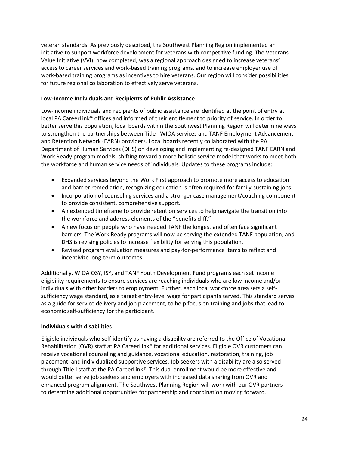veteran standards. As previously described, the Southwest Planning Region implemented an initiative to support workforce development for veterans with competitive funding. The Veterans Value Initiative (VVI), now completed, was a regional approach designed to increase veterans' access to career services and work-based training programs, and to increase employer use of work-based training programs as incentives to hire veterans. Our region will consider possibilities for future regional collaboration to effectively serve veterans.

#### **Low-Income Individuals and Recipients of Public Assistance**

Low-income individuals and recipients of public assistance are identified at the point of entry at local PA CareerLink® offices and informed of their entitlement to priority of service. In order to better serve this population, local boards within the Southwest Planning Region will determine ways to strengthen the partnerships between Title I WIOA services and TANF Employment Advancement and Retention Network (EARN) providers. Local boards recently collaborated with the PA Department of Human Services (DHS) on developing and implementing re-designed TANF EARN and Work Ready program models, shifting toward a more holistic service model that works to meet both the workforce and human service needs of individuals. Updates to these programs include:

- Expanded services beyond the Work First approach to promote more access to education and barrier remediation, recognizing education is often required for family-sustaining jobs.
- Incorporation of counseling services and a stronger case management/coaching component to provide consistent, comprehensive support.
- An extended timeframe to provide retention services to help navigate the transition into the workforce and address elements of the "benefits cliff."
- A new focus on people who have needed TANF the longest and often face significant barriers. The Work Ready programs will now be serving the extended TANF population, and DHS is revising policies to increase flexibility for serving this population.
- Revised program evaluation measures and pay-for-performance items to reflect and incentivize long-term outcomes.

Additionally, WIOA OSY, ISY, and TANF Youth Development Fund programs each set income eligibility requirements to ensure services are reaching individuals who are low income and/or individuals with other barriers to employment. Further, each local workforce area sets a selfsufficiency wage standard, as a target entry-level wage for participants served. This standard serves as a guide for service delivery and job placement, to help focus on training and jobs that lead to economic self-sufficiency for the participant.

#### **Individuals with disabilities**

Eligible individuals who self-identify as having a disability are referred to the Office of Vocational Rehabilitation (OVR) staff at PA CareerLink® for additional services. Eligible OVR customers can receive vocational counseling and guidance, vocational education, restoration, training, job placement, and individualized supportive services. Job seekers with a disability are also served through Title I staff at the PA CareerLink®. This dual enrollment would be more effective and would better serve job seekers and employers with increased data sharing from OVR and enhanced program alignment. The Southwest Planning Region will work with our OVR partners to determine additional opportunities for partnership and coordination moving forward.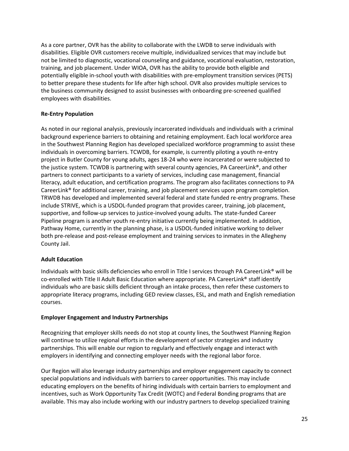As a core partner, OVR has the ability to collaborate with the LWDB to serve individuals with disabilities. Eligible OVR customers receive multiple, individualized services that may include but not be limited to diagnostic, vocational counseling and guidance, vocational evaluation, restoration, training, and job placement. Under WIOA, OVR has the ability to provide both eligible and potentially eligible in-school youth with disabilities with pre-employment transition services (PETS) to better prepare these students for life after high school. OVR also provides multiple services to the business community designed to assist businesses with onboarding pre-screened qualified employees with disabilities.

#### **Re-Entry Population**

As noted in our regional analysis, previously incarcerated individuals and individuals with a criminal background experience barriers to obtaining and retaining employment. Each local workforce area in the Southwest Planning Region has developed specialized workforce programming to assist these individuals in overcoming barriers. TCWDB, for example, is currently piloting a youth re-entry project in Butler County for young adults, ages 18-24 who were incarcerated or were subjected to the justice system. TCWDB is partnering with several county agencies, PA CareerLink®, and other partners to connect participants to a variety of services, including case management, financial literacy, adult education, and certification programs. The program also facilitates connections to PA CareerLink® for additional career, training, and job placement services upon program completion. TRWDB has developed and implemented several federal and state funded re-entry programs. These include STRIVE, which is a USDOL-funded program that provides career, training, job placement, supportive, and follow-up services to justice-involved young adults. The state-funded Career Pipeline program is another youth re-entry initiative currently being implemented. In addition, Pathway Home, currently in the planning phase, is a USDOL-funded initiative working to deliver both pre-release and post-release employment and training services to inmates in the Allegheny County Jail.

#### **Adult Education**

Individuals with basic skills deficiencies who enroll in Title I services through PA CareerLink® will be co-enrolled with Title II Adult Basic Education where appropriate. PA CareerLink® staff identify individuals who are basic skills deficient through an intake process, then refer these customers to appropriate literacy programs, including GED review classes, ESL, and math and English remediation courses.

#### **Employer Engagement and Industry Partnerships**

Recognizing that employer skills needs do not stop at county lines, the Southwest Planning Region will continue to utilize regional efforts in the development of sector strategies and industry partnerships. This will enable our region to regularly and effectively engage and interact with employers in identifying and connecting employer needs with the regional labor force.

Our Region will also leverage industry partnerships and employer engagement capacity to connect special populations and individuals with barriers to career opportunities. This may include educating employers on the benefits of hiring individuals with certain barriers to employment and incentives, such as Work Opportunity Tax Credit (WOTC) and Federal Bonding programs that are available. This may also include working with our industry partners to develop specialized training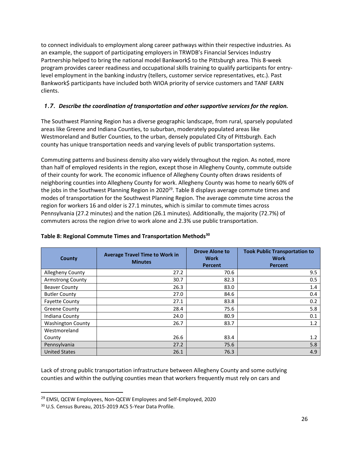to connect individuals to employment along career pathways within their respective industries. As an example, the support of participating employers in TRWDB's Financial Services Industry Partnership helped to bring the national model Bankwork\$ to the Pittsburgh area. This 8-week program provides career readiness and occupational skills training to qualify participants for entrylevel employment in the banking industry (tellers, customer service representatives, etc.). Past Bankwork\$ participants have included both WIOA priority of service customers and TANF EARN clients.

#### *1.7. Describe the coordination of transportation and other supportive services for the region.*

The Southwest Planning Region has a diverse geographic landscape, from rural, sparsely populated areas like Greene and Indiana Counties, to suburban, moderately populated areas like Westmoreland and Butler Counties, to the urban, densely populated City of Pittsburgh. Each county has unique transportation needs and varying levels of public transportation systems.

Commuting patterns and business density also vary widely throughout the region. As noted, more than half of employed residents in the region, except those in Allegheny County, commute outside of their county for work. The economic influence of Allegheny County often draws residents of neighboring counties into Allegheny County for work. Allegheny County was home to nearly 60% of the jobs in the Southwest Planning Region in 2020<sup>29</sup>. Table 8 displays average commute times and modes of transportation for the Southwest Planning Region. The average commute time across the region for workers 16 and older is 27.1 minutes, which is similar to commute times across Pennsylvania (27.2 minutes) and the nation (26.1 minutes). Additionally, the majority (72.7%) of commuters across the region drive to work alone and 2.3% use public transportation.

| County                   | <b>Average Travel Time to Work in</b><br><b>Minutes</b> | <b>Drove Alone to</b><br><b>Work</b><br><b>Percent</b> | <b>Took Public Transportation to</b><br><b>Work</b><br><b>Percent</b> |
|--------------------------|---------------------------------------------------------|--------------------------------------------------------|-----------------------------------------------------------------------|
| Allegheny County         | 27.2                                                    | 70.6                                                   | 9.5                                                                   |
| <b>Armstrong County</b>  | 30.7                                                    | 82.3                                                   | 0.5                                                                   |
| <b>Beaver County</b>     | 26.3                                                    | 83.0                                                   | 1.4                                                                   |
| <b>Butler County</b>     | 27.0                                                    | 84.6                                                   | 0.4                                                                   |
| <b>Fayette County</b>    | 27.1                                                    | 83.8                                                   | 0.2                                                                   |
| <b>Greene County</b>     | 28.4                                                    | 75.6                                                   | 5.8                                                                   |
| Indiana County           | 24.0                                                    | 80.9                                                   | 0.1                                                                   |
| <b>Washington County</b> | 26.7                                                    | 83.7                                                   | 1.2                                                                   |
| Westmoreland             |                                                         |                                                        |                                                                       |
| County                   | 26.6                                                    | 83.4                                                   | 1.2                                                                   |
| Pennsylvania             | 27.2                                                    | 75.6                                                   | 5.8                                                                   |
| <b>United States</b>     | 26.1                                                    | 76.3                                                   | 4.9                                                                   |

#### **Table 8: Regional Commute Times and Transportation Methods<sup>30</sup>**

Lack of strong public transportation infrastructure between Allegheny County and some outlying counties and within the outlying counties mean that workers frequently must rely on cars and

<sup>&</sup>lt;sup>29</sup> EMSI, QCEW Employees, Non-QCEW Employees and Self-Employed, 2020

<sup>30</sup> U.S. Census Bureau, 2015-2019 ACS 5-Year Data Profile.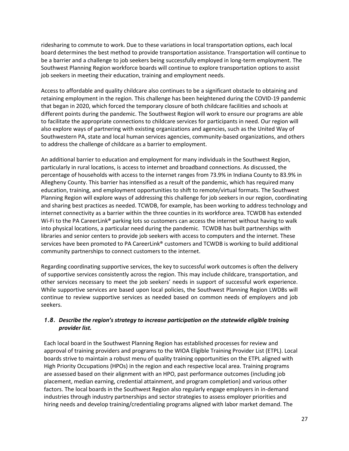ridesharing to commute to work. Due to these variations in local transportation options, each local board determines the best method to provide transportation assistance. Transportation will continue to be a barrier and a challenge to job seekers being successfully employed in long-term employment. The Southwest Planning Region workforce boards will continue to explore transportation options to assist job seekers in meeting their education, training and employment needs.

Access to affordable and quality childcare also continues to be a significant obstacle to obtaining and retaining employment in the region. This challenge has been heightened during the COVID-19 pandemic that began in 2020, which forced the temporary closure of both childcare facilities and schools at different points during the pandemic. The Southwest Region will work to ensure our programs are able to facilitate the appropriate connections to childcare services for participants in need. Our region will also explore ways of partnering with existing organizations and agencies, such as the United Way of Southwestern PA, state and local human services agencies, community-based organizations, and others to address the challenge of childcare as a barrier to employment.

An additional barrier to education and employment for many individuals in the Southwest Region, particularly in rural locations, is access to internet and broadband connections. As discussed, the percentage of households with access to the internet ranges from 73.9% in Indiana County to 83.9% in Allegheny County. This barrier has intensified as a result of the pandemic, which has required many education, training, and employment opportunities to shift to remote/virtual formats. The Southwest Planning Region will explore ways of addressing this challenge for job seekers in our region, coordinating and sharing best practices as needed. TCWDB, for example, has been working to address technology and internet connectivity as a barrier within the three counties in its workforce area. TCWDB has extended Wi-Fi to the PA CareerLink<sup>®</sup> parking lots so customers can access the internet without having to walk into physical locations, a particular need during the pandemic. TCWDB has built partnerships with libraries and senior centers to provide job seekers with access to computers and the internet. These services have been promoted to PA CareerLink® customers and TCWDB is working to build additional community partnerships to connect customers to the internet.

Regarding coordinating supportive services, the key to successful work outcomes is often the delivery of supportive services consistently across the region. This may include childcare, transportation, and other services necessary to meet the job seekers' needs in support of successful work experience. While supportive services are based upon local policies, the Southwest Planning Region LWDBs will continue to review supportive services as needed based on common needs of employers and job seekers.

#### *1.8. Describe the region's strategy to increase participation on the statewide eligible training provider list.*

Each local board in the Southwest Planning Region has established processes for review and approval of training providers and programs to the WIOA Eligible Training Provider List (ETPL). Local boards strive to maintain a robust menu of quality training opportunities on the ETPL aligned with High Priority Occupations (HPOs) in the region and each respective local area. Training programs are assessed based on their alignment with an HPO, past performance outcomes (including job placement, median earning, credential attainment, and program completion) and various other factors. The local boards in the Southwest Region also regularly engage employers in in-demand industries through industry partnerships and sector strategies to assess employer priorities and hiring needs and develop training/credentialing programs aligned with labor market demand. The